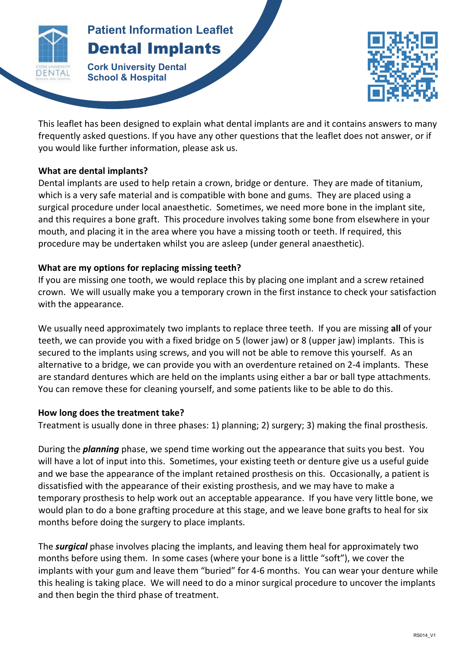

# **Patient Information Leaflet Patient Information Leaflet** Dental Implants

**Cork University Dental School & Hospital**



This leaflet has been designed to explain what dental implants are and it contains answers to many frequently asked questions. If you have any other questions that the leaflet does not answer, or if you would like further information, please ask us.

**DENTAL IMPLANTS**

## **What are dental implants?**

Dental implants are used to help retain a crown, bridge or denture. They are made of titanium, which is a very safe material and is compatible with bone and gums. They are placed using a surgical procedure under local anaesthetic. Sometimes, we need more bone in the implant site, and this requires a bone graft. This procedure involves taking some bone from elsewhere in your mouth, and placing it in the area where you have a missing tooth or teeth. If required, this procedure may be undertaken whilst you are asleep (under general anaesthetic).

## **What are my options for replacing missing teeth?**

If you are missing one tooth, we would replace this by placing one implant and a screw retained crown. We will usually make you a temporary crown in the first instance to check your satisfaction with the appearance.

We usually need approximately two implants to replace three teeth. If you are missing **all** of your teeth, we can provide you with a fixed bridge on 5 (lower jaw) or 8 (upper jaw) implants. This is secured to the implants using screws, and you will not be able to remove this yourself. As an alternative to a bridge, we can provide you with an overdenture retained on 2-4 implants. These are standard dentures which are held on the implants using either a bar or ball type attachments. You can remove these for cleaning yourself, and some patients like to be able to do this.

## **How long does the treatment take?**

Treatment is usually done in three phases: 1) planning; 2) surgery; 3) making the final prosthesis.

During the *planning* phase, we spend time working out the appearance that suits you best. You will have a lot of input into this. Sometimes, your existing teeth or denture give us a useful guide and we base the appearance of the implant retained prosthesis on this. Occasionally, a patient is dissatisfied with the appearance of their existing prosthesis, and we may have to make a temporary prosthesis to help work out an acceptable appearance. If you have very little bone, we would plan to do a bone grafting procedure at this stage, and we leave bone grafts to heal for six months before doing the surgery to place implants.

The *surgical* phase involves placing the implants, and leaving them heal for approximately two months before using them. In some cases (where your bone is a little "soft"), we cover the implants with your gum and leave them "buried" for 4-6 months. You can wear your denture while this healing is taking place. We will need to do a minor surgical procedure to uncover the implants and then begin the third phase of treatment.